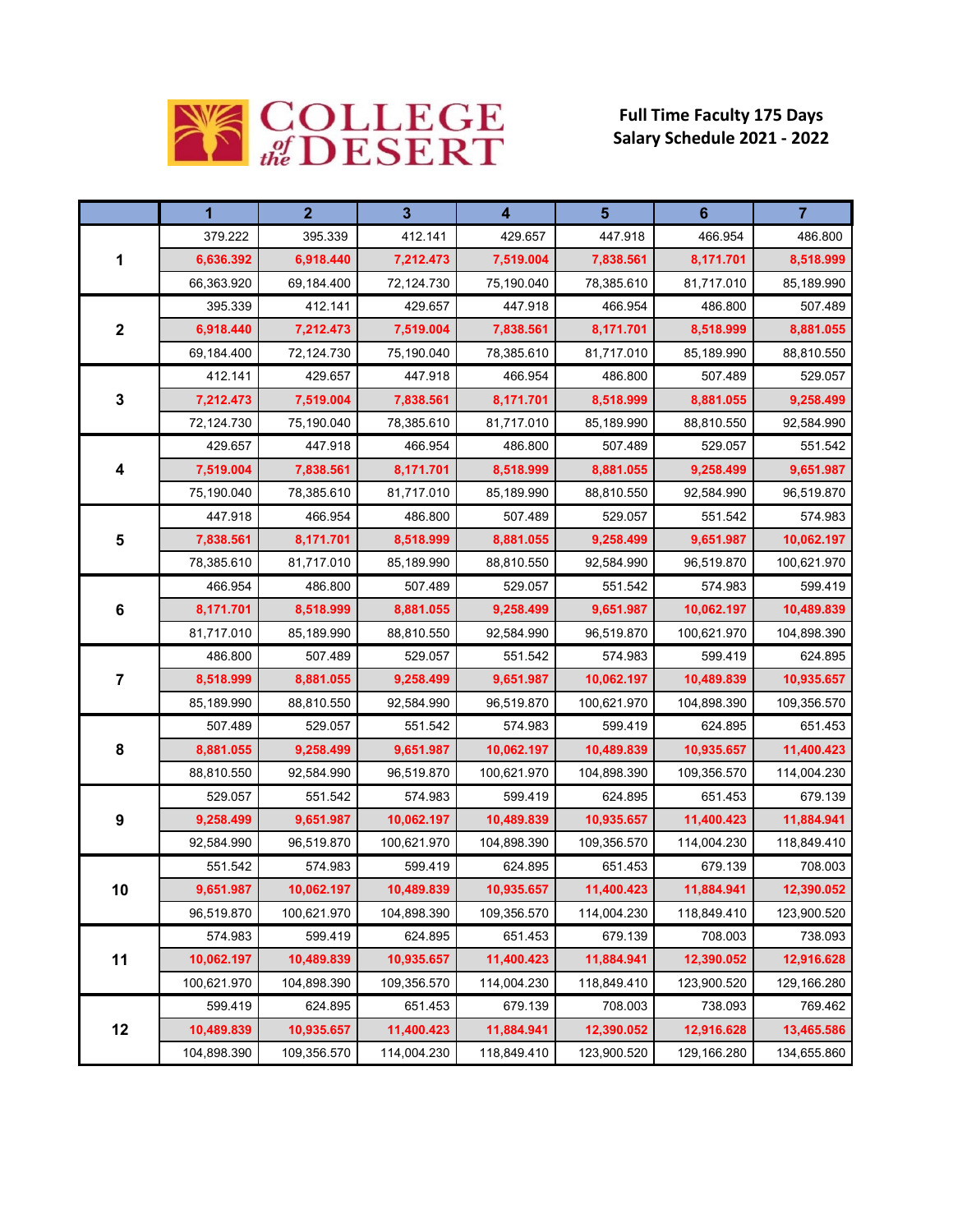

## **Full Time Faculty 175 Days Salary Schedule 2021 ‐ 2022**

|                         | 1           | $\overline{2}$ | $3\phantom{a}$ | $\overline{\mathbf{4}}$ | $5\phantom{1}$ | $6\phantom{1}6$ | $\overline{7}$ |
|-------------------------|-------------|----------------|----------------|-------------------------|----------------|-----------------|----------------|
| 1                       | 379.222     | 395.339        | 412.141        | 429.657                 | 447.918        | 466.954         | 486.800        |
|                         | 6,636.392   | 6,918.440      | 7,212.473      | 7,519.004               | 7,838.561      | 8,171.701       | 8,518.999      |
|                         | 66,363.920  | 69,184.400     | 72,124.730     | 75,190.040              | 78,385.610     | 81,717.010      | 85,189.990     |
| $\mathbf 2$             | 395.339     | 412.141        | 429.657        | 447.918                 | 466.954        | 486.800         | 507.489        |
|                         | 6,918.440   | 7,212.473      | 7,519.004      | 7,838.561               | 8,171.701      | 8,518.999       | 8,881.055      |
|                         | 69,184.400  | 72,124.730     | 75,190.040     | 78,385.610              | 81,717.010     | 85,189.990      | 88,810.550     |
| $\mathbf 3$             | 412.141     | 429.657        | 447.918        | 466.954                 | 486.800        | 507.489         | 529.057        |
|                         | 7,212.473   | 7,519.004      | 7,838.561      | 8,171.701               | 8,518.999      | 8,881.055       | 9,258.499      |
|                         | 72,124.730  | 75,190.040     | 78,385.610     | 81,717.010              | 85,189.990     | 88,810.550      | 92,584.990     |
| 4                       | 429.657     | 447.918        | 466.954        | 486.800                 | 507.489        | 529.057         | 551.542        |
|                         | 7,519.004   | 7,838.561      | 8,171.701      | 8,518.999               | 8,881.055      | 9,258.499       | 9,651.987      |
|                         | 75,190.040  | 78,385.610     | 81,717.010     | 85,189.990              | 88,810.550     | 92,584.990      | 96,519.870     |
| 5                       | 447.918     | 466.954        | 486.800        | 507.489                 | 529.057        | 551.542         | 574.983        |
|                         | 7,838.561   | 8,171.701      | 8,518.999      | 8,881.055               | 9,258.499      | 9,651.987       | 10,062.197     |
|                         | 78,385.610  | 81,717.010     | 85,189.990     | 88,810.550              | 92,584.990     | 96,519.870      | 100,621.970    |
|                         | 466.954     | 486.800        | 507.489        | 529.057                 | 551.542        | 574.983         | 599.419        |
| 6                       | 8,171.701   | 8,518.999      | 8,881.055      | 9,258.499               | 9,651.987      | 10,062.197      | 10,489.839     |
|                         | 81,717.010  | 85,189.990     | 88,810.550     | 92,584.990              | 96,519.870     | 100,621.970     | 104,898.390    |
|                         | 486.800     | 507.489        | 529.057        | 551.542                 | 574.983        | 599.419         | 624.895        |
| $\overline{\mathbf{7}}$ | 8,518.999   | 8,881.055      | 9,258.499      | 9,651.987               | 10,062.197     | 10,489.839      | 10,935.657     |
|                         | 85,189.990  | 88,810.550     | 92,584.990     | 96,519.870              | 100,621.970    | 104,898.390     | 109,356.570    |
| 8                       | 507.489     | 529.057        | 551.542        | 574.983                 | 599.419        | 624.895         | 651.453        |
|                         | 8,881.055   | 9,258.499      | 9,651.987      | 10,062.197              | 10,489.839     | 10,935.657      | 11,400.423     |
|                         | 88,810.550  | 92,584.990     | 96,519.870     | 100,621.970             | 104,898.390    | 109,356.570     | 114,004.230    |
| 9                       | 529.057     | 551.542        | 574.983        | 599.419                 | 624.895        | 651.453         | 679.139        |
|                         | 9,258.499   | 9,651.987      | 10,062.197     | 10,489.839              | 10,935.657     | 11,400.423      | 11,884.941     |
|                         | 92,584.990  | 96,519.870     | 100,621.970    | 104,898.390             | 109,356.570    | 114,004.230     | 118,849.410    |
| 10                      | 551.542     | 574.983        | 599.419        | 624.895                 | 651.453        | 679.139         | 708.003        |
|                         | 9,651.987   | 10,062.197     | 10,489.839     | 10,935.657              | 11,400.423     | 11,884.941      | 12,390.052     |
|                         | 96,519.870  | 100,621.970    | 104,898.390    | 109,356.570             | 114,004.230    | 118,849.410     | 123,900.520    |
|                         | 574.983     | 599.419        | 624.895        | 651.453                 | 679.139        | 708.003         | 738.093        |
| 11                      | 10,062.197  | 10,489.839     | 10,935.657     | 11,400.423              | 11.884.941     | 12,390.052      | 12,916.628     |
|                         | 100,621.970 | 104,898.390    | 109,356.570    | 114,004.230             | 118,849.410    | 123,900.520     | 129,166.280    |
| 12                      | 599.419     | 624.895        | 651.453        | 679.139                 | 708.003        | 738.093         | 769.462        |
|                         | 10,489.839  | 10,935.657     | 11,400.423     | 11,884.941              | 12,390.052     | 12,916.628      | 13,465.586     |
|                         | 104,898.390 | 109,356.570    | 114,004.230    | 118,849.410             | 123,900.520    | 129,166.280     | 134,655.860    |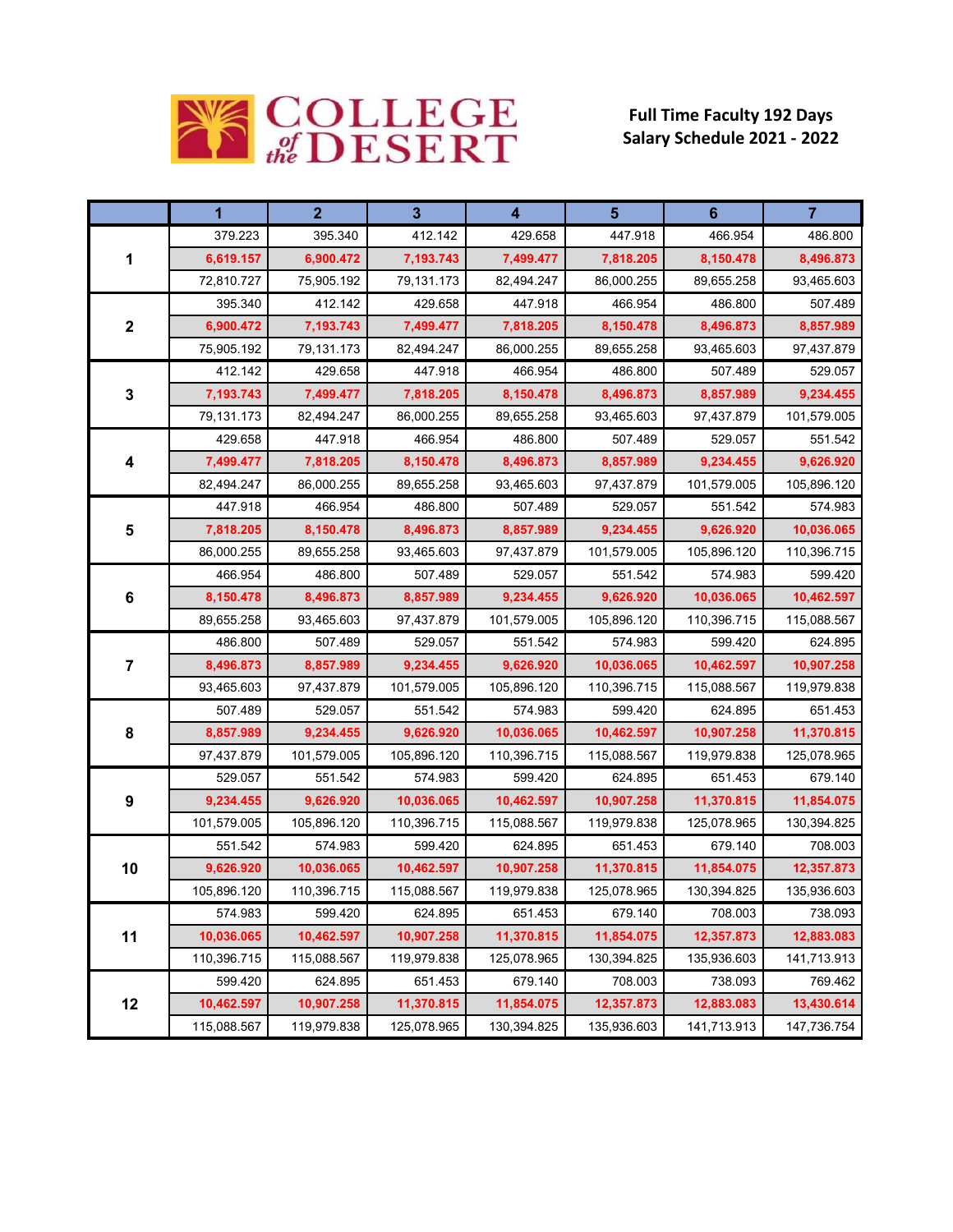

## **Full Time Faculty 192 Days Salary Schedule 2021 ‐ 2022**

|                         | 1           | $\overline{2}$ | $\overline{3}$ | 4           | $5\phantom{1}$ | $6\phantom{1}$ | $\overline{7}$ |
|-------------------------|-------------|----------------|----------------|-------------|----------------|----------------|----------------|
| 1                       | 379.223     | 395.340        | 412.142        | 429.658     | 447.918        | 466.954        | 486.800        |
|                         | 6,619.157   | 6,900.472      | 7,193.743      | 7,499.477   | 7,818.205      | 8,150.478      | 8,496.873      |
|                         | 72,810.727  | 75,905.192     | 79,131.173     | 82,494.247  | 86,000.255     | 89,655.258     | 93,465.603     |
| $\boldsymbol{2}$        | 395.340     | 412.142        | 429.658        | 447.918     | 466.954        | 486.800        | 507.489        |
|                         | 6,900.472   | 7,193.743      | 7,499.477      | 7,818.205   | 8,150.478      | 8,496.873      | 8,857.989      |
|                         | 75,905.192  | 79,131.173     | 82,494.247     | 86,000.255  | 89,655.258     | 93,465.603     | 97,437.879     |
| 3                       | 412.142     | 429.658        | 447.918        | 466.954     | 486.800        | 507.489        | 529.057        |
|                         | 7,193.743   | 7,499.477      | 7,818.205      | 8,150.478   | 8,496.873      | 8,857.989      | 9,234.455      |
|                         | 79,131.173  | 82,494.247     | 86,000.255     | 89,655.258  | 93,465.603     | 97,437.879     | 101,579.005    |
| 4                       | 429.658     | 447.918        | 466.954        | 486.800     | 507.489        | 529.057        | 551.542        |
|                         | 7,499.477   | 7,818.205      | 8,150.478      | 8,496.873   | 8,857.989      | 9,234.455      | 9,626.920      |
|                         | 82,494.247  | 86,000.255     | 89,655.258     | 93,465.603  | 97,437.879     | 101,579.005    | 105,896.120    |
| 5                       | 447.918     | 466.954        | 486.800        | 507.489     | 529.057        | 551.542        | 574.983        |
|                         | 7,818.205   | 8,150.478      | 8,496.873      | 8,857.989   | 9,234.455      | 9,626.920      | 10,036.065     |
|                         | 86,000.255  | 89,655.258     | 93,465.603     | 97,437.879  | 101,579.005    | 105,896.120    | 110,396.715    |
|                         | 466.954     | 486.800        | 507.489        | 529.057     | 551.542        | 574.983        | 599.420        |
| 6                       | 8,150.478   | 8,496.873      | 8,857.989      | 9,234.455   | 9,626.920      | 10,036.065     | 10,462.597     |
|                         | 89,655.258  | 93,465.603     | 97,437.879     | 101,579.005 | 105,896.120    | 110,396.715    | 115,088.567    |
|                         | 486.800     | 507.489        | 529.057        | 551.542     | 574.983        | 599.420        | 624.895        |
| $\overline{\mathbf{7}}$ | 8,496.873   | 8,857.989      | 9,234.455      | 9,626.920   | 10,036.065     | 10,462.597     | 10,907.258     |
|                         | 93,465.603  | 97,437.879     | 101,579.005    | 105,896.120 | 110,396.715    | 115,088.567    | 119,979.838    |
| 8                       | 507.489     | 529.057        | 551.542        | 574.983     | 599.420        | 624.895        | 651.453        |
|                         | 8,857.989   | 9,234.455      | 9,626.920      | 10,036.065  | 10,462.597     | 10,907.258     | 11,370.815     |
|                         | 97,437.879  | 101,579.005    | 105,896.120    | 110,396.715 | 115,088.567    | 119,979.838    | 125,078.965    |
| 9                       | 529.057     | 551.542        | 574.983        | 599.420     | 624.895        | 651.453        | 679.140        |
|                         | 9,234.455   | 9,626.920      | 10,036.065     | 10,462.597  | 10,907.258     | 11,370.815     | 11,854.075     |
|                         | 101,579.005 | 105,896.120    | 110,396.715    | 115,088.567 | 119,979.838    | 125,078.965    | 130,394.825    |
| 10                      | 551.542     | 574.983        | 599.420        | 624.895     | 651.453        | 679.140        | 708.003        |
|                         | 9,626.920   | 10,036.065     | 10,462.597     | 10,907.258  | 11,370.815     | 11,854.075     | 12,357.873     |
|                         | 105,896.120 | 110,396.715    | 115,088.567    | 119,979.838 | 125,078.965    | 130,394.825    | 135,936.603    |
| 11                      | 574.983     | 599.420        | 624.895        | 651.453     | 679.140        | 708.003        | 738.093        |
|                         | 10,036.065  | 10,462.597     | 10,907.258     | 11,370.815  | 11,854.075     | 12,357.873     | 12,883.083     |
|                         | 110,396.715 | 115,088.567    | 119,979.838    | 125,078.965 | 130,394.825    | 135,936.603    | 141,713.913    |
| 12                      | 599.420     | 624.895        | 651.453        | 679.140     | 708.003        | 738.093        | 769.462        |
|                         | 10,462.597  | 10,907.258     | 11,370.815     | 11,854.075  | 12,357.873     | 12,883.083     | 13,430.614     |
|                         | 115,088.567 | 119,979.838    | 125,078.965    | 130,394.825 | 135,936.603    | 141,713.913    | 147,736.754    |